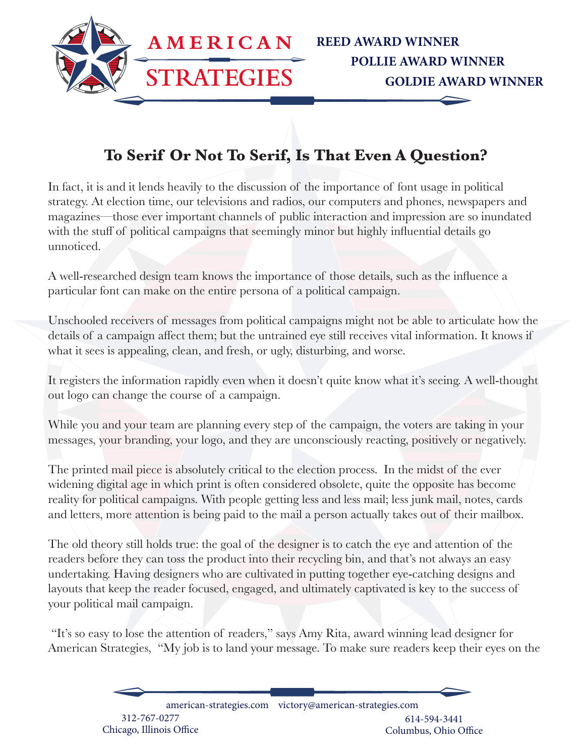

## **To Serif Or Not To Serif, Is That Even A Question?**

In fact, it is and it lends heavily to the discussion of the importance of font usage in political strategy. At election time, our televisions and radios, our computers and phones, newspapers and magazines—those ever important channels of public interaction and impression are so inundated with the stuff of political campaigns that seemingly minor but highly influential details go unnoticed.

A well-researched design team knows the importance of those details, such as the influence a particular font can make on the entire persona of a political campaign.

Unschooled receivers of messages from political campaigns might not be able to articulate how the details of a campaign affect them; but the untrained eye still receives vital information. It knows if what it sees is appealing, clean, and fresh, or ugly, disturbing, and worse.

It registers the information rapidly even when it doesn't quite know what it's seeing. A well-thought out logo can change the course of a campaign.

While you and your team are planning every step of the campaign, the voters are taking in your messages, your branding, your logo, and they are unconsciously reacting, positively or negatively.

The printed mail piece is absolutely critical to the election process. In the midst of the ever widening digital age in which print is often considered obsolete, quite the opposite has become reality for political campaigns. With people getting less and less mail; less junk mail, notes, cards and letters, more attention is being paid to the mail a person actually takes out of their mailbox.

The old theory still holds true: the goal of the designer is to catch the eye and attention of the readers before they can toss the product into their recycling bin, and that's not always an easy undertaking. Having designers who are cultivated in putting together eye-catching designs and layouts that keep the reader focused, engaged, and ultimately captivated is key to the success of your political mail campaign.

 "It's so easy to lose the attention of readers," says Amy Rita, award winning lead designer for American Strategies, "My job is to land your message. To make sure readers keep their eyes on the

> american-strategies.com victory@american-strategies.com 312-767-0277 Chicago, Illinois Office 614-594-3441 Columbus, Ohio Office